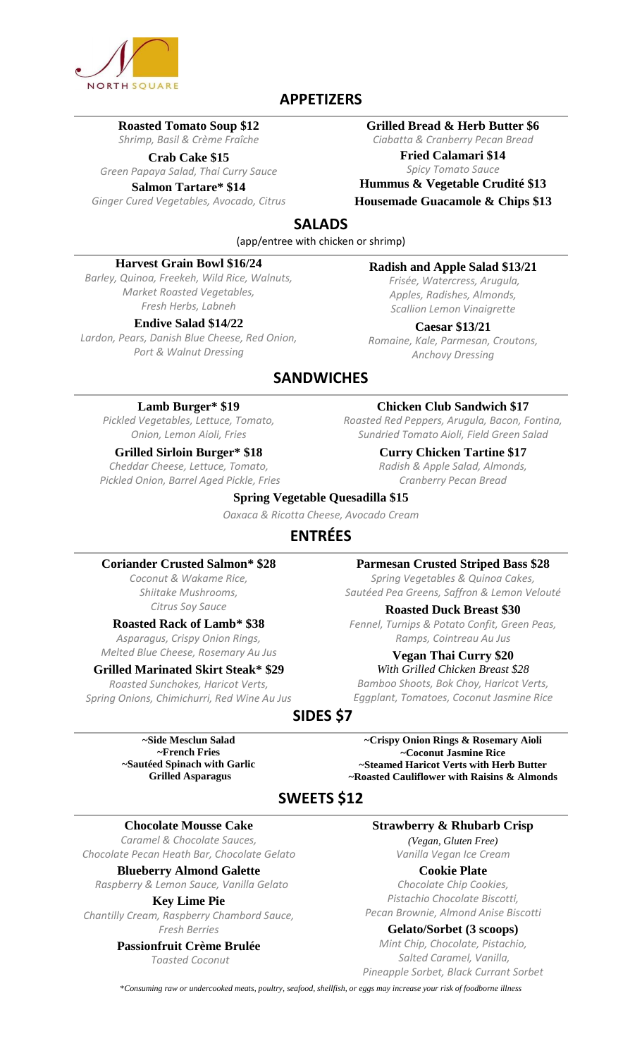

#### **APPETIZERS**

#### **Roasted Tomato Soup \$12**

*Shrimp, Basil & Crème Fraîche*

**Crab Cake \$15**

#### *Green Papaya Salad, Thai Curry Sauce* **Salmon Tartare\* \$14**

*Ginger Cured Vegetables, Avocado, Citrus*

#### **Grilled Bread & Herb Butter \$6**

*Ciabatta & Cranberry Pecan Bread* **Fried Calamari \$14**

*Spicy Tomato Sauce* **Hummus & Vegetable Crudité \$13**

**Housemade Guacamole & Chips \$13**

#### **SALADS**

(app/entree with chicken or shrimp)

#### **Harvest Grain Bowl \$16/24**

*Barley, Quinoa, Freekeh, Wild Rice, Walnuts, Market Roasted Vegetables, Fresh Herbs, Labneh* 

#### **Endive Salad \$14/22**

*Lardon, Pears, Danish Blue Cheese, Red Onion, Port & Walnut Dressing*

#### **Radish and Apple Salad \$13/21**

*Frisée, Watercress, Arugula, Apples, Radishes, Almonds, Scallion Lemon Vinaigrette*

**Caesar \$13/21** *Romaine, Kale, Parmesan, Croutons, Anchovy Dressing*

#### **SANDWICHES**

#### **Lamb Burger\* \$19**

*Pickled Vegetables, Lettuce, Tomato, Onion, Lemon Aioli, Fries*

#### **Grilled Sirloin Burger\* \$18**

*Cheddar Cheese, Lettuce, Tomato, Pickled Onion, Barrel Aged Pickle, Fries*

**Chicken Club Sandwich \$17** *Roasted Red Peppers, Arugula, Bacon, Fontina,* 

*Sundried Tomato Aioli, Field Green Salad* **Curry Chicken Tartine \$17** *Radish & Apple Salad, Almonds, Cranberry Pecan Bread*

#### **Spring Vegetable Quesadilla \$15**

*Oaxaca & Ricotta Cheese, Avocado Cream*

#### **ENTRÉES**

#### **Coriander Crusted Salmon\* \$28**

*Coconut & Wakame Rice, Shiitake Mushrooms, Citrus Soy Sauce* 

#### **Roasted Rack of Lamb\* \$38**

*Asparagus, Crispy Onion Rings, Melted Blue Cheese, Rosemary Au Jus*

#### **Grilled Marinated Skirt Steak\* \$29**

*Roasted Sunchokes, Haricot Verts, Spring Onions, Chimichurri, Red Wine Au Jus*

**SIDES \$7**

**~Side Mesclun Salad ~French Fries ~Sautéed Spinach with Garlic Grilled Asparagus**

**~Crispy Onion Rings & Rosemary Aioli ~Coconut Jasmine Rice ~Steamed Haricot Verts with Herb Butter ~Roasted Cauliflower with Raisins & Almonds**

## **SWEETS \$12**

#### **Chocolate Mousse Cake**

*Caramel & Chocolate Sauces, Chocolate Pecan Heath Bar, Chocolate Gelato*

**Blueberry Almond Galette** *Raspberry & Lemon Sauce, Vanilla Gelato*

#### **Key Lime Pie**

*Chantilly Cream, Raspberry Chambord Sauce, Fresh Berries*

#### **Passionfruit Crème Brulée**

*Toasted Coconut*

#### **Strawberry & Rhubarb Crisp**

*(Vegan, Gluten Free) Vanilla Vegan Ice Cream*

#### **Cookie Plate**

*Chocolate Chip Cookies, Pistachio Chocolate Biscotti, Pecan Brownie, Almond Anise Biscotti*

**Gelato/Sorbet (3 scoops)**

*Mint Chip, Chocolate, Pistachio, Salted Caramel, Vanilla, Pineapple Sorbet, Black Currant Sorbet*

\**Consuming raw or undercooked meats, poultry, seafood, shellfish, or eggs may increase your risk of foodborne illness*

**Parmesan Crusted Striped Bass \$28**

*Spring Vegetables & Quinoa Cakes, Sautéed Pea Greens, Saffron & Lemon Velouté*

#### **Roasted Duck Breast \$30**

*Fennel, Turnips & Potato Confit, Green Peas, Ramps, Cointreau Au Jus*

#### **Vegan Thai Curry \$20** *With Grilled Chicken Breast \$28*

*Bamboo Shoots, Bok Choy, Haricot Verts, Eggplant, Tomatoes, Coconut Jasmine Rice*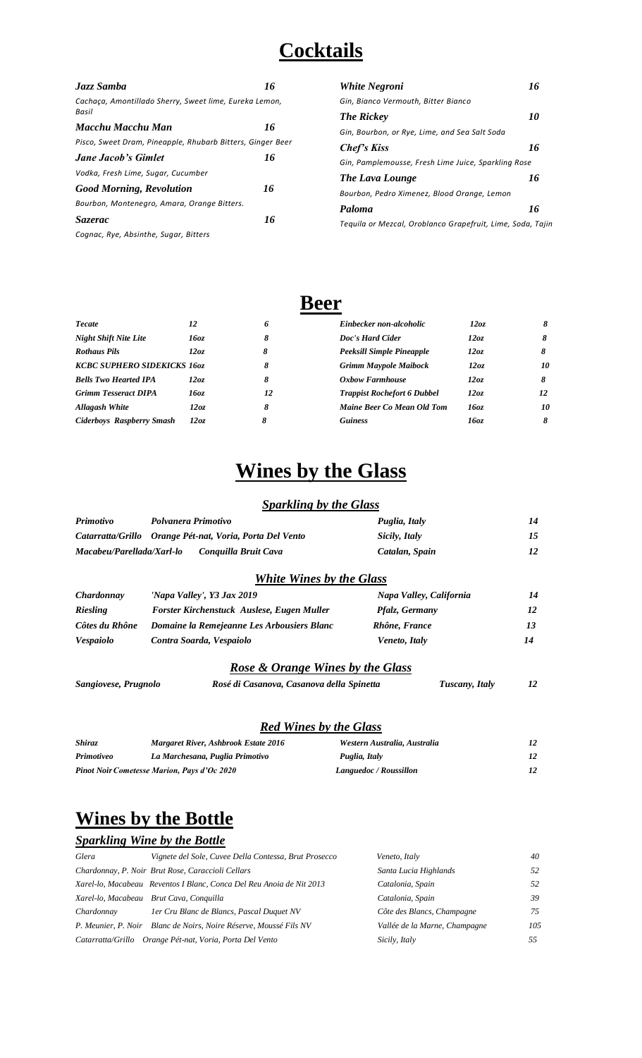## **Cocktails**

| Jazz Samba                                                      | 16 |
|-----------------------------------------------------------------|----|
| Cachaca, Amontillado Sherry, Sweet lime, Eureka Lemon,<br>Basil |    |
| Macchu Macchu Man                                               | 16 |
| Pisco, Sweet Dram, Pineapple, Rhubarb Bitters, Ginger Beer      |    |
| Jane Jacob's Gimlet                                             | 16 |
| Vodka, Fresh Lime, Sugar, Cucumber                              |    |
| <b>Good Morning, Revolution</b>                                 | 16 |
| Bourbon, Montenegro, Amara, Orange Bitters.                     |    |
| Sazerac                                                         | 16 |
| Cognac, Rye, Absinthe, Sugar, Bitters                           |    |

| <b>White Negroni</b>                                | 16 |
|-----------------------------------------------------|----|
| Gin, Bianco Vermouth, Bitter Bianco                 |    |
| <b>The Rickey</b>                                   | 10 |
| Gin, Bourbon, or Rye, Lime, and Sea Salt Soda       |    |
| Chef's Kiss                                         | 16 |
| Gin, Pamplemousse, Fresh Lime Juice, Sparkling Rose |    |
| The Lava Lounge                                     | 16 |
| Bourbon, Pedro Ximenez, Blood Orange, Lemon         |    |
| Paloma                                              | 16 |
|                                                     |    |

*Tequila or Mezcal, Oroblanco Grapefruit, Lime, Soda, Tajin*

## **Beer**

| <b>Tecate</b>                       | 12   | 6  | Einbecker non-alcoholic            | 12oz | 8  |
|-------------------------------------|------|----|------------------------------------|------|----|
| <b>Night Shift Nite Lite</b>        | 16oz | 8  | Doc's Hard Cider                   | 12oz | 8  |
| <b>Rothaus Pils</b>                 | 12oz | 8  | Peeksill Simple Pineapple          | 12oz |    |
| <b>KCBC SUPHERO SIDEKICKS 1607.</b> |      | 8  | <b>Grimm Maypole Maibock</b>       | 12oz | 10 |
| <b>Bells Two Hearted IPA</b>        | 12oz | 8  | <b>Oxbow Farmhouse</b>             | 12oz | 8  |
| <b>Grimm Tesseract DIPA</b>         | 16oz | 12 | <b>Trappist Rochefort 6 Dubbel</b> | 12oz | 12 |
| <b>Allagash White</b>               | 12oz | 8  | Maine Beer Co Mean Old Tom         | 16oz | 10 |
| <b>Ciderboys Raspberry Smash</b>    | 12oz | 8  | <b>Guiness</b>                     | 16oz | 8  |

## **Wines by the Glass**

#### *Sparkling by the Glass*

| <b>Primotivo</b>          | Polvanera Primotivo                                      | Puglia, Italy               | 14              |
|---------------------------|----------------------------------------------------------|-----------------------------|-----------------|
|                           | Catarratta/Grillo Orange Pét-nat, Voria, Porta Del Vento | Sicily, Italy               | 15              |
| Macabeu/Parellada/Xarl-lo | Conquilla Bruit Cava                                     | Catalan, Spain              | 12              |
|                           | <b>White Wines by the Glass</b>                          |                             |                 |
| <i>Chardonnay</i>         | 'Napa Valley', Y3 Jax 2019                               | Napa Valley, California     | 14              |
| <b>Riesling</b>           | Forster Kirchenstuck Auslese, Eugen Muller               | Pfalz, Germany              | 12              |
| Côtes du Rhône            | Domaine la Remejeanne Les Arbousiers Blanc               | Rhône, France               | 13              |
| <i><b>Vespaiolo</b></i>   | Contra Soarda, Vespaiolo                                 | Veneto, Italy               | 14              |
|                           | <b>Rose &amp; Orange Wines by the Glass</b>              |                             |                 |
| Sangiovese, Prugnolo      | Rosé di Casanova, Casanova della Spinetta                | Tuscany, Italy              | 12              |
|                           |                                                          |                             |                 |
|                           | <b>Red Wines by the Glass</b>                            |                             |                 |
| <b>Shiraz</b>             | Margaret River, Ashbrook Estate 2016                     | Western Australia Australia | 12 <sup>2</sup> |

| Shiraz     | <b>Margaret River, Ashbrook Estate 2016</b>        | Western Australia, Australia |  |
|------------|----------------------------------------------------|------------------------------|--|
| Primotiveo | La Marchesana, Puglia Primotivo                    | Puglia, Italy                |  |
|            | <b>Pinot Noir Cometesse Marion, Pays d'Oc 2020</b> | Languedoc / Roussillon       |  |

## **Wines by the Bottle**

#### *Sparkling Wine by the Bottle*

| Glera      | Vignete del Sole, Cuvee Della Contessa, Brut Prosecco                | Veneto, Italy                 | 40  |
|------------|----------------------------------------------------------------------|-------------------------------|-----|
|            | Chardonnay, P. Noir Brut Rose, Caraccioli Cellars                    | Santa Lucia Highlands         | .52 |
|            | Xarel-lo, Macabeau Reventos I Blanc, Conca Del Reu Anoia de Nit 2013 | Catalonia, Spain              | 52  |
|            | Xarel-lo, Macabeau Brut Cava, Conquilla                              | Catalonia, Spain              | 39  |
| Chardonnay | 1er Cru Blanc de Blancs, Pascal Duquet NV                            | Côte des Blancs, Champagne    | 75  |
|            | P. Meunier, P. Noir Blanc de Noirs, Noire Réserve, Moussé Fils NV    | Vallée de la Marne, Champagne | 105 |
|            | Catarratta/Grillo Orange Pét-nat, Voria, Porta Del Vento             | Sicily, Italy                 | 55  |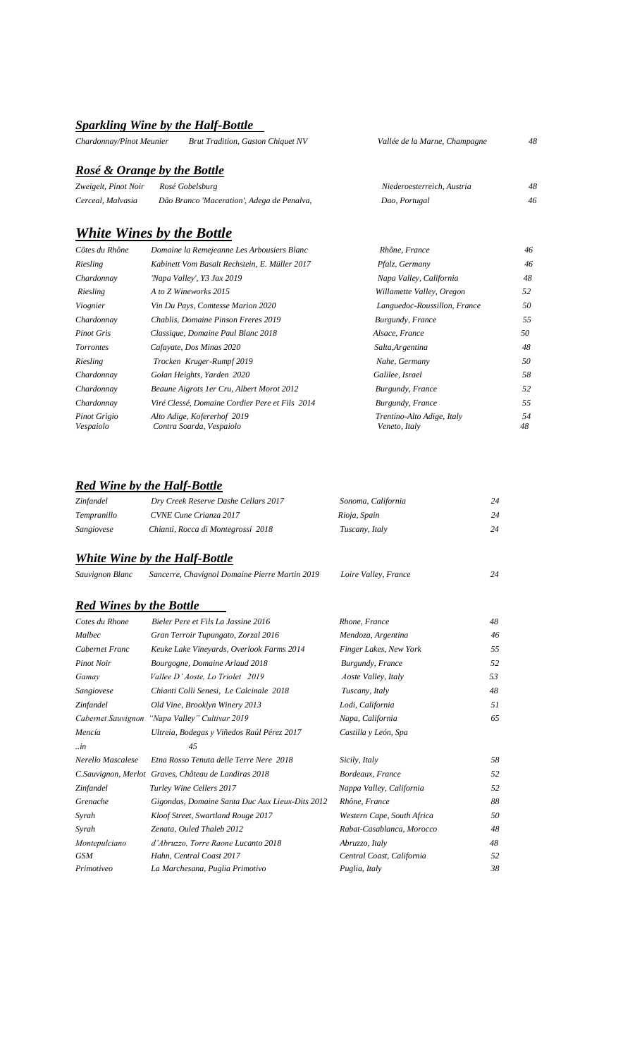## *Sparkling Wine by the Half-Bottle*

| Vallée de la Marne, Champagne | 48 |
|-------------------------------|----|
|                               |    |
| Niederoesterreich, Austria    | 48 |
| Dao, Portugal                 | 46 |
|                               |    |

#### *White Wines by the Bottle*

| Côtes du Rhône            | Domaine la Remejeanne Les Arbousiers Blanc              | Rhône, France                               | 46       |
|---------------------------|---------------------------------------------------------|---------------------------------------------|----------|
| Riesling                  | Kabinett Vom Basalt Rechstein, E. Müller 2017           | Pfalz, Germany                              | 46       |
| Chardonnay                | 'Napa Valley', Y3 Jax 2019                              | Napa Valley, California                     | 48       |
| Riesling                  | A to Z Wineworks 2015                                   | Willamette Valley, Oregon                   | 52       |
| Viognier                  | Vin Du Pays, Comtesse Marion 2020                       | Languedoc-Roussillon, France                | 50       |
| Chardonnay                | Chablis, Domaine Pinson Freres 2019                     | Burgundy, France                            | 55       |
| <b>Pinot Gris</b>         | Classique, Domaine Paul Blanc 2018                      | Alsace, France                              | 50       |
| <i>Torrontes</i>          | Cafayate, Dos Minas 2020                                | Salta, Argentina                            | 48       |
| Riesling                  | Trocken Kruger-Rumpf 2019                               | Nahe, Germany                               | 50       |
| Chardonnay                | Golan Heights, Yarden 2020                              | Galilee, Israel                             | 58       |
| Chardonnay                | Beaune Aigrots 1 er Cru, Albert Morot 2012              | Burgundy, France                            | 52       |
| Chardonnay                | Viré Clessé, Domaine Cordier Pere et Fils 2014          | Burgundy, France                            | 55       |
| Pinot Grigio<br>Vespaiolo | Alto Adige, Kofererhof 2019<br>Contra Soarda, Vespaiolo | Trentino-Alto Adige, Italy<br>Veneto, Italy | 54<br>48 |

#### *Red Wine by the Half-Bottle*

| Zinfandel   | Dry Creek Reserve Dashe Cellars 2017 | Sonoma, California | 24 |
|-------------|--------------------------------------|--------------------|----|
| Tempranillo | CVNE Cune Crianza 2017               | Rioja, Spain       | 24 |
| Sangiovese  | Chianti, Rocca di Montegrossi 2018   | Tuscany, Italy     | 24 |

#### *White Wine by the Half-Bottle*

| Sauvignon Blanc                | Sancerre, Chavignol Domaine Pierre Martin 2019        | Loire Valley, France       | 24  |
|--------------------------------|-------------------------------------------------------|----------------------------|-----|
| <b>Red Wines by the Bottle</b> |                                                       |                            |     |
| Cotes du Rhone                 | Bieler Pere et Fils La Jassine 2016                   | Rhone, France              | 48  |
| Malbec                         | Gran Terroir Tupungato, Zorzal 2016                   | Mendoza, Argentina         | 46  |
| Cabernet Franc                 | Keuke Lake Vineyards, Overlook Farms 2014             | Finger Lakes, New York     | 55  |
| <b>Pinot Noir</b>              | Bourgogne, Domaine Arlaud 2018                        | Burgundy, France           | 52  |
| Gamay                          | Vallee D' Aoste, Lo Triolet 2019                      | <i>Aoste Valley, Italy</i> | 53  |
| Sangiovese                     | Chianti Colli Senesi, Le Calcinale 2018               | Tuscany, Italy             | 48  |
| Zinfandel                      | Old Vine, Brooklyn Winery 2013                        | Lodi, California           | 51  |
|                                | Cabernet Sauvignon "Napa Valley" Cultivar 2019        | Napa, California           | 65  |
| Mencía                         | Ultreia, Bodegas y Viñedos Raúl Pérez 2017            | Castilla y León, Spa       |     |
| $\ldots$ in                    | 45                                                    |                            |     |
| Nerello Mascalese              | Etna Rosso Tenuta delle Terre Nere 2018               | Sicily, Italy              | 58  |
|                                | C. Sauvignon, Merlot Graves, Château de Landiras 2018 | Bordeaux, France           | .52 |
| Zinfandel                      | Turley Wine Cellers 2017                              | Nappa Valley, California   | 52  |
| Grenache                       | Gigondas, Domaine Santa Duc Aux Lieux-Dits 2012       | Rhône, France              | 88  |
| Syrah                          | Kloof Street, Swartland Rouge 2017                    | Western Cape, South Africa | 50  |
| Syrah                          | Zenata, Ouled Thaleb 2012                             | Rabat-Casablanca, Morocco  | 48  |
| Montepulciano                  | d'Abruzzo, Torre Raone Lucanto 2018                   | Abruzzo, Italy             | 48  |
| <b>GSM</b>                     | Hahn, Central Coast 2017                              | Central Coast, California  | 52  |
| Primotiveo                     | La Marchesana, Puglia Primotivo                       | Puglia, Italy              | 38  |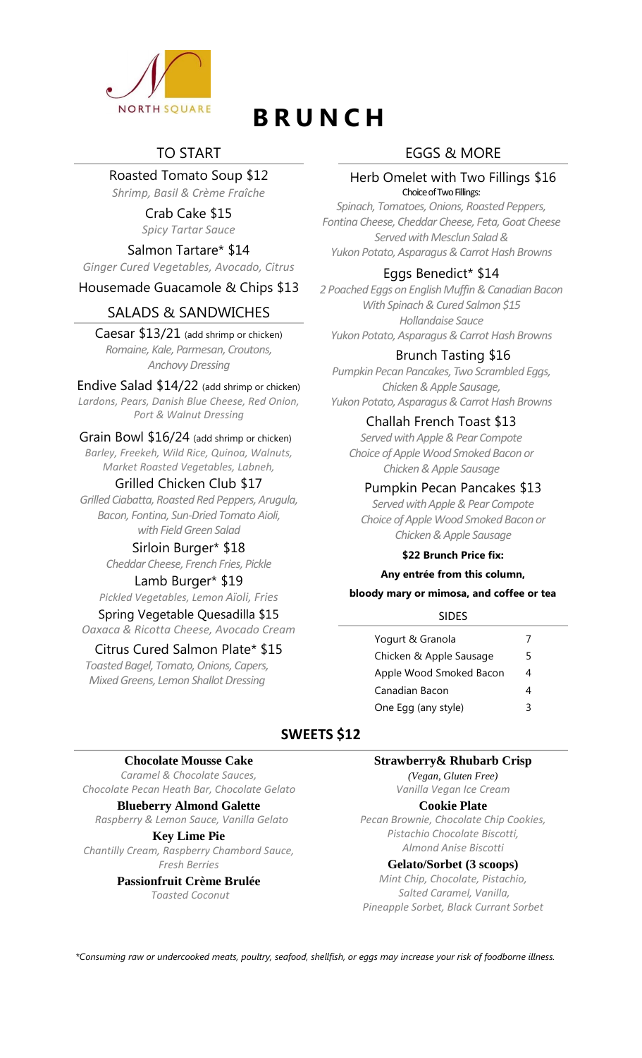

# **B R U N C H**

#### TO START

Roasted Tomato Soup \$12

*Shrimp, Basil & Crème Fraîche* Crab Cake \$15

*Spicy Tartar Sauce*

Salmon Tartare\* \$14

*Ginger Cured Vegetables, Avocado, Citrus*

#### Housemade Guacamole & Chips \$13

#### SALADS & SANDWICHES

Caesar \$13/21 (add shrimp or chicken) *Romaine, Kale, Parmesan, Croutons, Anchovy Dressing*

#### Endive Salad \$14/22 (add shrimp or chicken)

*Lardons, Pears, Danish Blue Cheese, Red Onion, Port & Walnut Dressing*

#### Grain Bowl \$16/24 (add shrimp or chicken)

*Barley, Freekeh, Wild Rice, Quinoa, Walnuts, Market Roasted Vegetables, Labneh,* 

#### Grilled Chicken Club \$17

*Grilled Ciabatta, Roasted Red Peppers, Arugula, Bacon, Fontina, Sun-Dried Tomato Aioli, with Field Green Salad*

#### Sirloin Burger\* \$18

*Cheddar Cheese, French Fries, Pickle*

#### Lamb Burger\* \$19

*Pickled Vegetables, Lemon Aïoli, Fries* Spring Vegetable Quesadilla \$15 *Oaxaca & Ricotta Cheese, Avocado Cream*

#### Citrus Cured Salmon Plate\* \$15

*Toasted Bagel, Tomato, Onions, Capers, Mixed Greens, Lemon Shallot Dressing*

### EGGS & MORE

#### Herb Omelet with Two Fillings \$16 Choice of Two Fillings:

*Spinach, Tomatoes, Onions, Roasted Peppers, Fontina Cheese, Cheddar Cheese, Feta,Goat Cheese Served with Mesclun Salad & Yukon Potato, Asparagus & Carrot Hash Browns*

#### Eggs Benedict\* \$14

*2 Poached Eggs on English Muffin & Canadian Bacon With Spinach & Cured Salmon \$15 Hollandaise Sauce Yukon Potato, Asparagus & Carrot Hash Browns*

#### Brunch Tasting \$16

*Pumpkin Pecan Pancakes, Two Scrambled Eggs, Chicken & Apple Sausage, Yukon Potato, Asparagus & Carrot Hash Browns*

#### Challah French Toast \$13

*Served with Apple & Pear Compote Choice of Apple Wood Smoked Bacon or Chicken & Apple Sausage*

#### Pumpkin Pecan Pancakes \$13

*Served with Apple & Pear Compote Choice of Apple Wood Smoked Bacon or Chicken & Apple Sausage*

#### **\$22 Brunch Price fix:**

**Any entrée from this column,**

#### **bloody mary or mimosa, and coffee or tea**

#### **SIDES**

| Yogurt & Granola        |   |
|-------------------------|---|
| Chicken & Apple Sausage | 5 |
| Apple Wood Smoked Bacon | 4 |
| Canadian Bacon          | Δ |
| One Egg (any style)     |   |

#### **SWEETS \$12**

#### **Chocolate Mousse Cake**

*Caramel & Chocolate Sauces, Chocolate Pecan Heath Bar, Chocolate Gelato*

#### **Blueberry Almond Galette**

*Raspberry & Lemon Sauce, Vanilla Gelato*

**Key Lime Pie**

*Chantilly Cream, Raspberry Chambord Sauce, Fresh Berries*

> **Passionfruit Crème Brulée** *Toasted Coconut*

#### **Strawberry& Rhubarb Crisp**

*(Vegan, Gluten Free) Vanilla Vegan Ice Cream*

#### **Cookie Plate**

*Pecan Brownie, Chocolate Chip Cookies, Pistachio Chocolate Biscotti, Almond Anise Biscotti*

#### **Gelato/Sorbet (3 scoops)**

*Mint Chip, Chocolate, Pistachio, Salted Caramel, Vanilla, Pineapple Sorbet, Black Currant Sorbet*

*\*Consuming raw or undercooked meats, poultry, seafood, shellfish, or eggs may increase your risk of foodborne illness.*